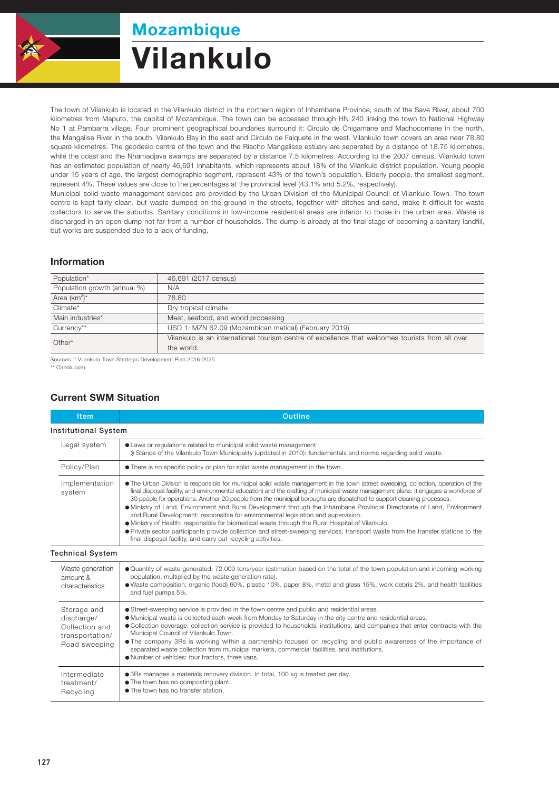

# Mozambique Vilankulo

The town of Vilankulo is located in the Vilankulo district in the northern region of Inhambane Province, south of the Save River, about 700 kilometres from Maputo, the capital of Mozambique. The town can be accessed through HN 240 linking the town to National Highway No 1 at Pambarra village. Four prominent geographical boundaries surround it: Circulo de Chigamane and Machocomane in the north, the Mangalise River in the south, Vilankulo Bay in the east and Circulo de Faiquete in the west. Vilankulo town covers an area near 78.80 square kilometres. The geodesic centre of the town and the Riacho Mangalisse estuary are separated by a distance of 18.75 kilometres, while the coast and the Nhamadjava swamps are separated by a distance 7.5 kilometres. According to the 2007 census, Vilankulo town has an estimated population of nearly 46,691 inhabitants, which represents about 18% of the Vilankulo district population. Young people under 15 years of age, the largest demographic segment, represent 43% of the town's population. Elderly people, the smallest segment, represent 4%. These values are close to the percentages at the provincial level (43.1% and 5.2%, respectively).

Municipal solid waste management services are provided by the Urban Division of the Municipal Council of Vilankulo Town. The town centre is kept fairly clean, but waste dumped on the ground in the streets, together with ditches and sand, make it difficult for waste collectors to serve the suburbs. Sanitary conditions in low-income residential areas are inferior to those in the urban area. Waste is discharged in an open dump not far from a number of households. The dump is already at the final stage of becoming a sanitary landfill, but works are suspended due to a lack of funding.

#### Information

| Population*                  | 46,691 (2017 census)                                                                            |  |  |
|------------------------------|-------------------------------------------------------------------------------------------------|--|--|
| Population growth (annual %) | N/A                                                                                             |  |  |
| Area $(km^2)^*$              | 78.80                                                                                           |  |  |
| Climate*                     | Dry tropical climate                                                                            |  |  |
| Main industries*             | Meat, seafood, and wood processing                                                              |  |  |
| Currency**                   | USD 1: MZN 62.09 (Mozambican metical) (February 2019)                                           |  |  |
| $Other*$                     | Vilankulo is an international tourism centre of excellence that welcomes tourists from all over |  |  |
|                              | the world.                                                                                      |  |  |

Sources: \* Vilankulo Town Strategic Development Plan 2016-2025

\*\* Oanda.com

## Current SWM Situation

| <b>Item</b>                                                                     | Outline                                                                                                                                                                                                                                                                                                                                                                                                                                                                                                                                                                                                                                                                                                                                                                                                                                                                                                                      |  |  |  |
|---------------------------------------------------------------------------------|------------------------------------------------------------------------------------------------------------------------------------------------------------------------------------------------------------------------------------------------------------------------------------------------------------------------------------------------------------------------------------------------------------------------------------------------------------------------------------------------------------------------------------------------------------------------------------------------------------------------------------------------------------------------------------------------------------------------------------------------------------------------------------------------------------------------------------------------------------------------------------------------------------------------------|--|--|--|
| <b>Institutional System</b>                                                     |                                                                                                                                                                                                                                                                                                                                                                                                                                                                                                                                                                                                                                                                                                                                                                                                                                                                                                                              |  |  |  |
| Legal system                                                                    | • Laws or regulations related to municipal solid waste management:<br>» Stance of the Vilankulo Town Municipality (updated in 2010): fundamentals and norms regarding solid waste.                                                                                                                                                                                                                                                                                                                                                                                                                                                                                                                                                                                                                                                                                                                                           |  |  |  |
| Policy/Plan                                                                     | • There is no specific policy or plan for solid waste management in the town.                                                                                                                                                                                                                                                                                                                                                                                                                                                                                                                                                                                                                                                                                                                                                                                                                                                |  |  |  |
| Implementation<br>system                                                        | • The Urban Division is responsible for municipal solid waste management in the town (street sweeping, collection, operation of the<br>final disposal facility, and environmental education) and the drafting of municipal waste management plans. It engages a workforce of<br>30 people for operations. Another 20 people from the municipal boroughs are dispatched to support cleaning processes.<br>• Ministry of Land, Environment and Rural Development through the Inhambane Provincial Directorate of Land, Environment<br>and Rural Development: responsible for environmental legislation and supervision.<br>• Ministry of Health: responsible for biomedical waste through the Rural Hospital of Vilankulo.<br>• Private sector participants provide collection and street-sweeping services, transport waste from the transfer stations to the<br>final disposal facility, and carry out recycling activities. |  |  |  |
| <b>Technical System</b>                                                         |                                                                                                                                                                                                                                                                                                                                                                                                                                                                                                                                                                                                                                                                                                                                                                                                                                                                                                                              |  |  |  |
| Waste generation<br>amount &<br>characteristics                                 | • Quantity of waste generated: 72,000 tons/year (estimation based on the total of the town population and incoming working<br>population, multiplied by the waste generation rate).<br>• Waste composition: organic (food) 60%, plastic 10%, paper 8%, metal and glass 15%, work debris 2%, and health facilities<br>and fuel pumps 5%.                                                                                                                                                                                                                                                                                                                                                                                                                                                                                                                                                                                      |  |  |  |
| Storage and<br>discharge/<br>Collection and<br>transportation/<br>Road sweeping | • Street-sweeping service is provided in the town centre and public and residential areas.<br>• Municipal waste is collected each week from Monday to Saturday in the city centre and residential areas.<br>· Collection coverage: collection service is provided to households, institutions, and companies that enter contracts with the<br>Municipal Council of Vilankulo Town.<br>• The company 3Rs is working within a partnership focused on recycling and public awareness of the importance of<br>separated waste collection from municipal markets, commercial facilities, and institutions.<br>. Number of vehicles: four tractors, three vans.                                                                                                                                                                                                                                                                    |  |  |  |
| Intermediate<br>treatment/<br>Recycling                                         | • 3Rs manages a materials recovery division. In total, 100 kg is treated per day.<br>• The town has no composting plant.<br>• The town has no transfer station.                                                                                                                                                                                                                                                                                                                                                                                                                                                                                                                                                                                                                                                                                                                                                              |  |  |  |